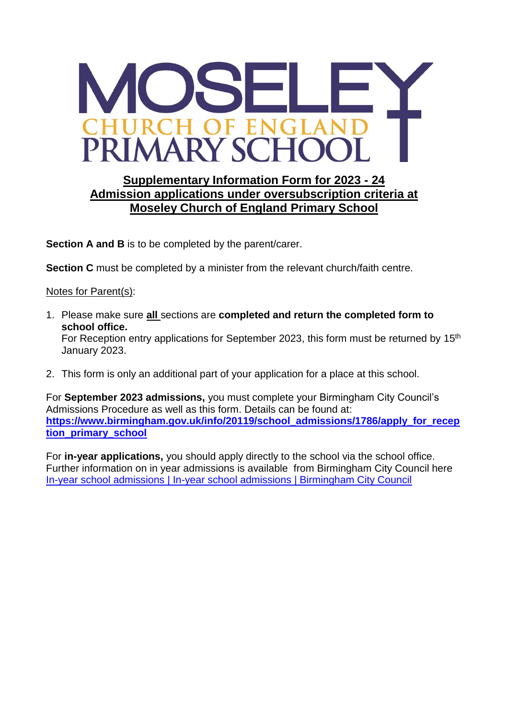

## **Supplementary Information Form for 2023 - 24 Admission applications under oversubscription criteria at Moseley Church of England Primary School**

**Section A and B** is to be completed by the parent/carer.

**Section C** must be completed by a minister from the relevant church/faith centre.

Notes for Parent(s):

- 1. Please make sure **all** sections are **completed and return the completed form to school office.** For Reception entry applications for September 2023, this form must be returned by 15<sup>th</sup> January 2023.
- 2. This form is only an additional part of your application for a place at this school.

For **September 2023 admissions,** you must complete your Birmingham City Council's Admissions Procedure as well as this form. Details can be found at: **[https://www.birmingham.gov.uk/info/20119/school\\_admissions/1786/apply\\_for\\_recep](https://www.birmingham.gov.uk/info/20119/school_admissions/1786/apply_for_reception_primary_school) [tion\\_primary\\_school](https://www.birmingham.gov.uk/info/20119/school_admissions/1786/apply_for_reception_primary_school)**

For **in-year applications,** you should apply directly to the school via the school office. Further information on in year admissions is available from Birmingham City Council here [In-year school admissions | In-year school admissions | Birmingham City Council](https://www.birmingham.gov.uk/info/20119/school_admissions/587/in-year_school_admissions)